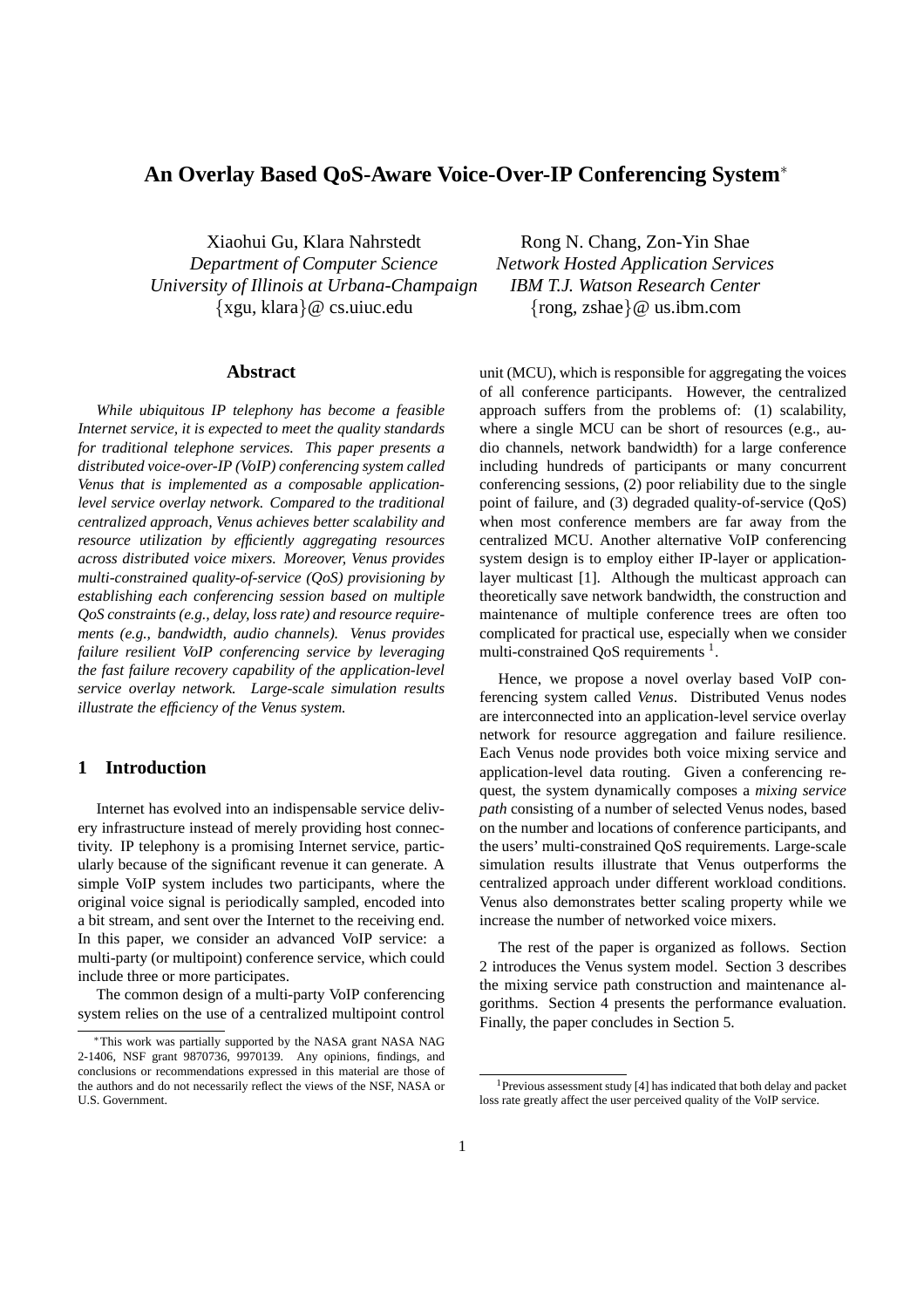# **An Overlay Based QoS-Aware Voice-Over-IP Conferencing System**<sup>∗</sup>

*Department of Computer Science Network Hosted Application Services University of Illinois at Urbana-Champaign IBM T.J. Watson Research Center* {xgu, klara}@ cs.uiuc.edu {rong, zshae}@ us.ibm.com

#### **Abstract**

*While ubiquitous IP telephony has become a feasible Internet service, it is expected to meet the quality standards for traditional telephone services. This paper presents a distributed voice-over-IP (VoIP) conferencing system called Venus that is implemented as a composable applicationlevel service overlay network. Compared to the traditional centralized approach, Venus achieves better scalability and resource utilization by efficiently aggregating resources across distributed voice mixers. Moreover, Venus provides multi-constrained quality-of-service (QoS) provisioning by establishing each conferencing session based on multiple QoS constraints (e.g., delay, loss rate) and resource requirements (e.g., bandwidth, audio channels). Venus provides failure resilient VoIP conferencing service by leveraging the fast failure recovery capability of the application-level service overlay network. Large-scale simulation results illustrate the efficiency of the Venus system.*

## **1 Introduction**

Internet has evolved into an indispensable service delivery infrastructure instead of merely providing host connectivity. IP telephony is a promising Internet service, particularly because of the significant revenue it can generate. A simple VoIP system includes two participants, where the original voice signal is periodically sampled, encoded into a bit stream, and sent over the Internet to the receiving end. In this paper, we consider an advanced VoIP service: a multi-party (or multipoint) conference service, which could include three or more participates.

The common design of a multi-party VoIP conferencing system relies on the use of a centralized multipoint control

Xiaohui Gu, Klara Nahrstedt Rong N. Chang, Zon-Yin Shae

unit (MCU), which is responsible for aggregating the voices of all conference participants. However, the centralized approach suffers from the problems of: (1) scalability, where a single MCU can be short of resources (e.g., audio channels, network bandwidth) for a large conference including hundreds of participants or many concurrent conferencing sessions, (2) poor reliability due to the single point of failure, and (3) degraded quality-of-service (QoS) when most conference members are far away from the centralized MCU. Another alternative VoIP conferencing system design is to employ either IP-layer or applicationlayer multicast [1]. Although the multicast approach can theoretically save network bandwidth, the construction and maintenance of multiple conference trees are often too complicated for practical use, especially when we consider multi-constrained QoS requirements  $<sup>1</sup>$ .</sup>

Hence, we propose a novel overlay based VoIP conferencing system called *Venus*. Distributed Venus nodes are interconnected into an application-level service overlay network for resource aggregation and failure resilience. Each Venus node provides both voice mixing service and application-level data routing. Given a conferencing request, the system dynamically composes a *mixing service path* consisting of a number of selected Venus nodes, based on the number and locations of conference participants, and the users' multi-constrained QoS requirements. Large-scale simulation results illustrate that Venus outperforms the centralized approach under different workload conditions. Venus also demonstrates better scaling property while we increase the number of networked voice mixers.

The rest of the paper is organized as follows. Section 2 introduces the Venus system model. Section 3 describes the mixing service path construction and maintenance algorithms. Section 4 presents the performance evaluation. Finally, the paper concludes in Section 5.

<sup>∗</sup>This work was partially supported by the NASA grant NASA NAG 2-1406, NSF grant 9870736, 9970139. Any opinions, findings, and conclusions or recommendations expressed in this material are those of the authors and do not necessarily reflect the views of the NSF, NASA or U.S. Government.

<sup>1</sup>Previous assessment study [4] has indicated that both delay and packet loss rate greatly affect the user perceived quality of the VoIP service.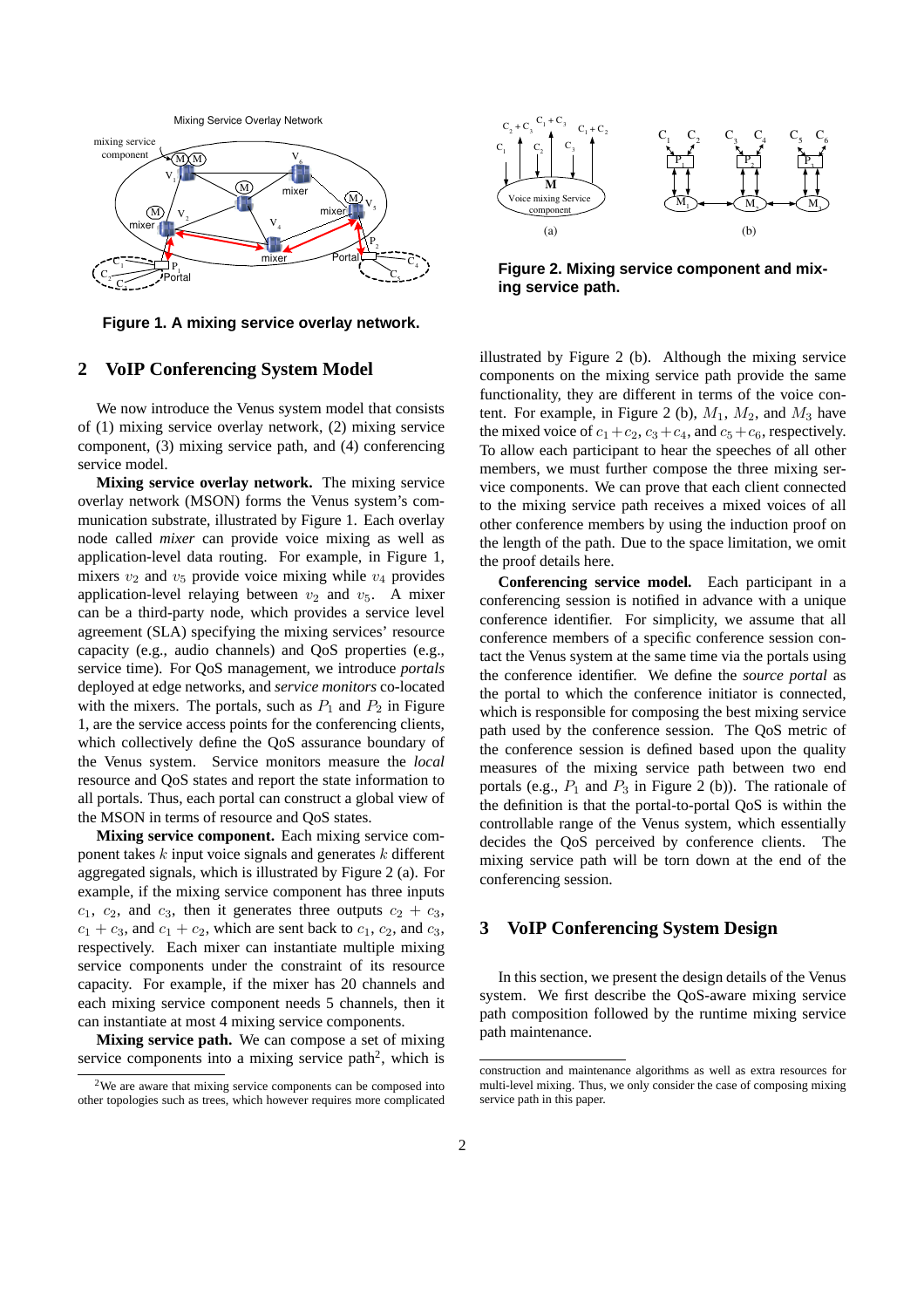

**Figure 1. A mixing service overlay network.**

### **2 VoIP Conferencing System Model**

We now introduce the Venus system model that consists of (1) mixing service overlay network, (2) mixing service component, (3) mixing service path, and (4) conferencing service model.

**Mixing service overlay network.** The mixing service overlay network (MSON) forms the Venus system's communication substrate, illustrated by Figure 1. Each overlay node called *mixer* can provide voice mixing as well as application-level data routing. For example, in Figure 1, mixers  $v_2$  and  $v_5$  provide voice mixing while  $v_4$  provides application-level relaying between  $v_2$  and  $v_5$ . A mixer can be a third-party node, which provides a service level agreement (SLA) specifying the mixing services' resource capacity (e.g., audio channels) and QoS properties (e.g., service time). For QoS management, we introduce *portals* deployed at edge networks, and *service monitors* co-located with the mixers. The portals, such as  $P_1$  and  $P_2$  in Figure 1, are the service access points for the conferencing clients, which collectively define the QoS assurance boundary of the Venus system. Service monitors measure the *local* resource and QoS states and report the state information to all portals. Thus, each portal can construct a global view of the MSON in terms of resource and QoS states.

**Mixing service component.** Each mixing service component takes  $k$  input voice signals and generates  $k$  different aggregated signals, which is illustrated by Figure 2 (a). For example, if the mixing service component has three inputs  $c_1$ ,  $c_2$ , and  $c_3$ , then it generates three outputs  $c_2 + c_3$ ,  $c_1 + c_3$ , and  $c_1 + c_2$ , which are sent back to  $c_1$ ,  $c_2$ , and  $c_3$ , respectively. Each mixer can instantiate multiple mixing service components under the constraint of its resource capacity. For example, if the mixer has 20 channels and each mixing service component needs 5 channels, then it can instantiate at most 4 mixing service components.

**Mixing service path.** We can compose a set of mixing service components into a mixing service path<sup>2</sup>, which is



**Figure 2. Mixing service component and mixing service path.**

illustrated by Figure 2 (b). Although the mixing service components on the mixing service path provide the same functionality, they are different in terms of the voice content. For example, in Figure 2 (b),  $M_1$ ,  $M_2$ , and  $M_3$  have the mixed voice of  $c_1+c_2$ ,  $c_3+c_4$ , and  $c_5+c_6$ , respectively. To allow each participant to hear the speeches of all other members, we must further compose the three mixing service components. We can prove that each client connected to the mixing service path receives a mixed voices of all other conference members by using the induction proof on the length of the path. Due to the space limitation, we omit the proof details here.

**Conferencing service model.** Each participant in a conferencing session is notified in advance with a unique conference identifier. For simplicity, we assume that all conference members of a specific conference session contact the Venus system at the same time via the portals using the conference identifier. We define the *source portal* as the portal to which the conference initiator is connected, which is responsible for composing the best mixing service path used by the conference session. The QoS metric of the conference session is defined based upon the quality measures of the mixing service path between two end portals (e.g.,  $P_1$  and  $P_3$  in Figure 2 (b)). The rationale of the definition is that the portal-to-portal QoS is within the controllable range of the Venus system, which essentially decides the QoS perceived by conference clients. The mixing service path will be torn down at the end of the conferencing session.

## **3 VoIP Conferencing System Design**

In this section, we present the design details of the Venus system. We first describe the QoS-aware mixing service path composition followed by the runtime mixing service path maintenance.

<sup>2</sup>We are aware that mixing service components can be composed into other topologies such as trees, which however requires more complicated

construction and maintenance algorithms as well as extra resources for multi-level mixing. Thus, we only consider the case of composing mixing service path in this paper.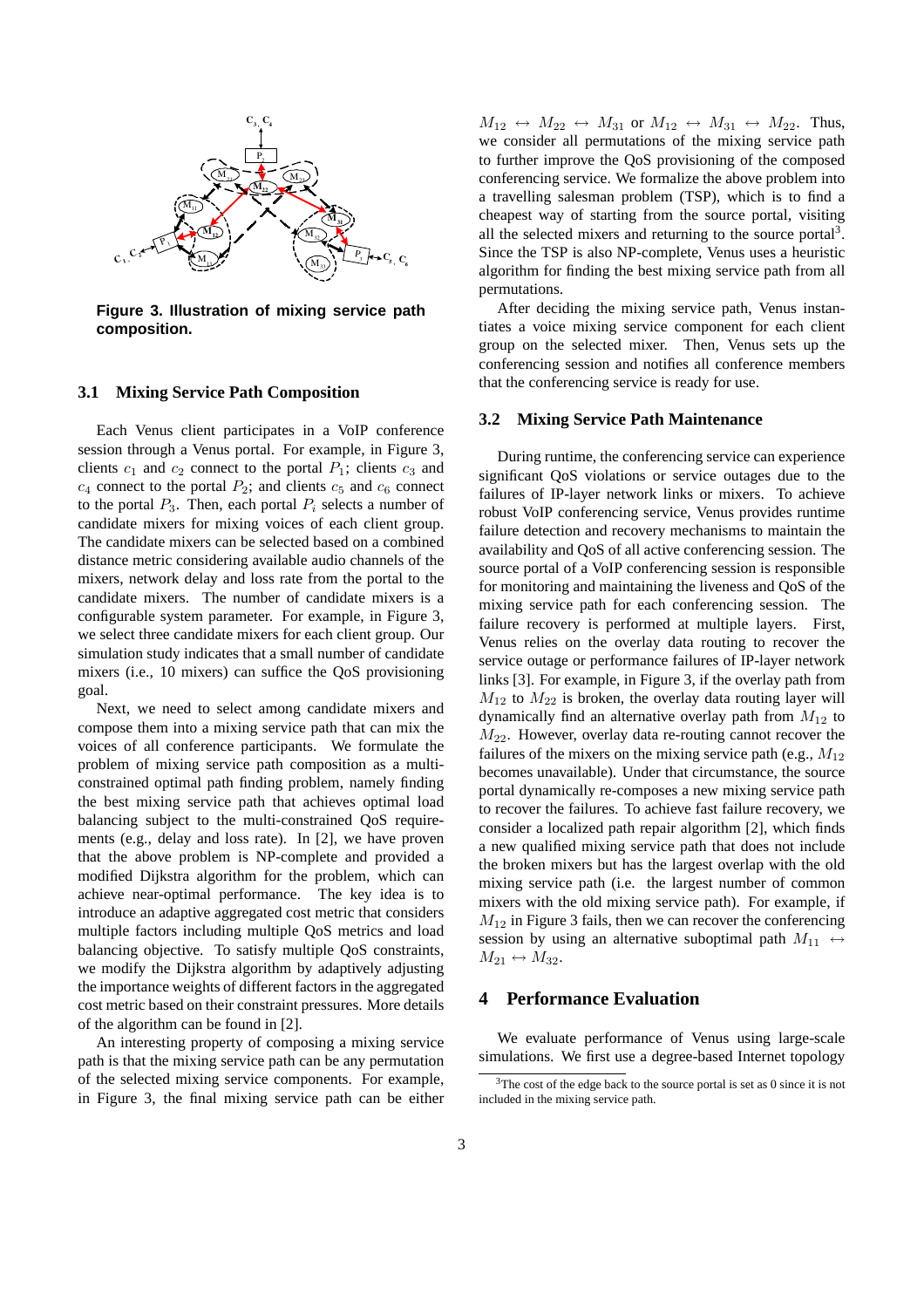

**Figure 3. Illustration of mixing service path composition.**

#### **3.1 Mixing Service Path Composition**

Each Venus client participates in a VoIP conference session through a Venus portal. For example, in Figure 3, clients  $c_1$  and  $c_2$  connect to the portal  $P_1$ ; clients  $c_3$  and  $c_4$  connect to the portal  $P_2$ ; and clients  $c_5$  and  $c_6$  connect to the portal  $P_3$ . Then, each portal  $P_i$  selects a number of candidate mixers for mixing voices of each client group. The candidate mixers can be selected based on a combined distance metric considering available audio channels of the mixers, network delay and loss rate from the portal to the candidate mixers. The number of candidate mixers is a configurable system parameter. For example, in Figure 3, we select three candidate mixers for each client group. Our simulation study indicates that a small number of candidate mixers (i.e., 10 mixers) can suffice the QoS provisioning goal.

Next, we need to select among candidate mixers and compose them into a mixing service path that can mix the voices of all conference participants. We formulate the problem of mixing service path composition as a multiconstrained optimal path finding problem, namely finding the best mixing service path that achieves optimal load balancing subject to the multi-constrained QoS requirements (e.g., delay and loss rate). In [2], we have proven that the above problem is NP-complete and provided a modified Dijkstra algorithm for the problem, which can achieve near-optimal performance. The key idea is to introduce an adaptive aggregated cost metric that considers multiple factors including multiple QoS metrics and load balancing objective. To satisfy multiple QoS constraints, we modify the Dijkstra algorithm by adaptively adjusting the importance weights of different factors in the aggregated cost metric based on their constraint pressures. More details of the algorithm can be found in [2].

An interesting property of composing a mixing service path is that the mixing service path can be any permutation of the selected mixing service components. For example, in Figure 3, the final mixing service path can be either

 $M_{12} \leftrightarrow M_{22} \leftrightarrow M_{31}$  or  $M_{12} \leftrightarrow M_{31} \leftrightarrow M_{22}$ . Thus, we consider all permutations of the mixing service path to further improve the QoS provisioning of the composed conferencing service. We formalize the above problem into a travelling salesman problem (TSP), which is to find a cheapest way of starting from the source portal, visiting all the selected mixers and returning to the source portal $3$ . Since the TSP is also NP-complete, Venus uses a heuristic algorithm for finding the best mixing service path from all permutations.

After deciding the mixing service path, Venus instantiates a voice mixing service component for each client group on the selected mixer. Then, Venus sets up the conferencing session and notifies all conference members that the conferencing service is ready for use.

#### **3.2 Mixing Service Path Maintenance**

During runtime, the conferencing service can experience significant QoS violations or service outages due to the failures of IP-layer network links or mixers. To achieve robust VoIP conferencing service, Venus provides runtime failure detection and recovery mechanisms to maintain the availability and QoS of all active conferencing session. The source portal of a VoIP conferencing session is responsible for monitoring and maintaining the liveness and QoS of the mixing service path for each conferencing session. The failure recovery is performed at multiple layers. First, Venus relies on the overlay data routing to recover the service outage or performance failures of IP-layer network links [3]. For example, in Figure 3, if the overlay path from  $M_{12}$  to  $M_{22}$  is broken, the overlay data routing layer will dynamically find an alternative overlay path from  $M_{12}$  to  $M_{22}$ . However, overlay data re-routing cannot recover the failures of the mixers on the mixing service path (e.g.,  $M_{12}$ ) becomes unavailable). Under that circumstance, the source portal dynamically re-composes a new mixing service path to recover the failures. To achieve fast failure recovery, we consider a localized path repair algorithm [2], which finds a new qualified mixing service path that does not include the broken mixers but has the largest overlap with the old mixing service path (i.e. the largest number of common mixers with the old mixing service path). For example, if  $M_{12}$  in Figure 3 fails, then we can recover the conferencing session by using an alternative suboptimal path  $M_{11} \leftrightarrow$  $M_{21} \leftrightarrow M_{32}.$ 

### **4 Performance Evaluation**

We evaluate performance of Venus using large-scale simulations. We first use a degree-based Internet topology

 $3$ The cost of the edge back to the source portal is set as 0 since it is not included in the mixing service path.